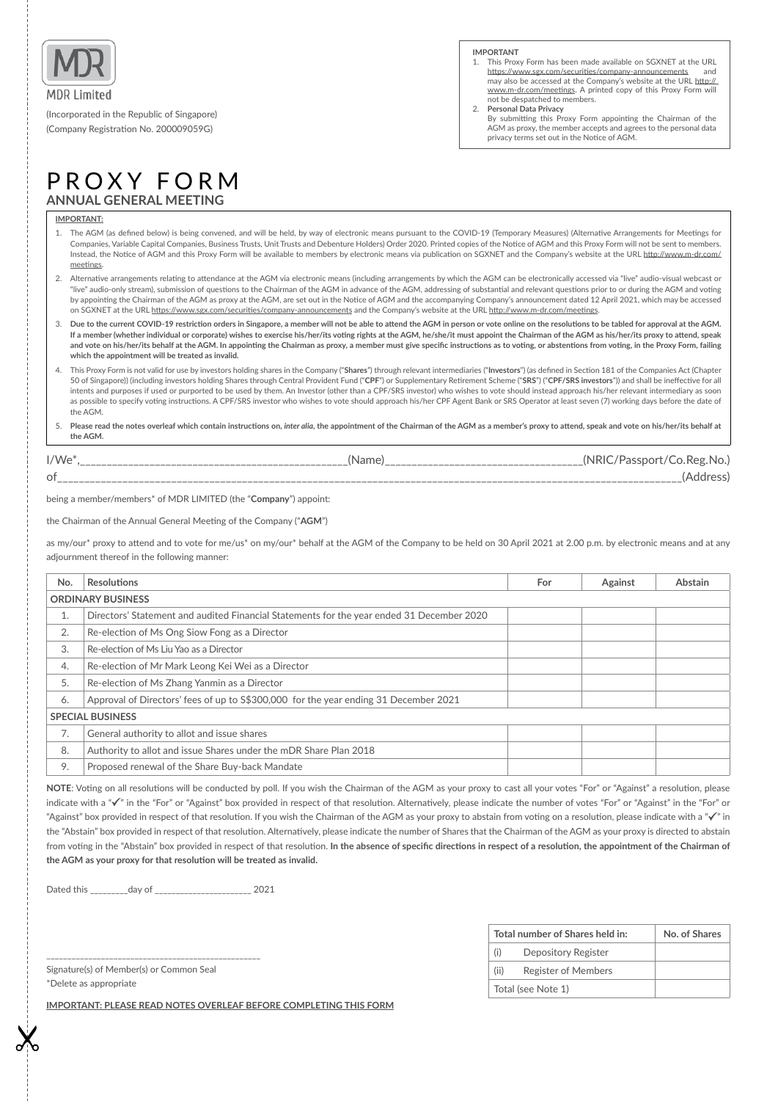

(Incorporated in the Republic of Singapore) (Company Registraton No. 200009059G)

#### **IMPORTANT**

- 1. This Proxy Form has been made available on SGXNET at the URL https://www.sgx.com/securities/company-announcements and may also be accessed at the Company's website at the URL http:// www.m-dr.com/meetngs. A printed copy of this Proxy Form will not be despatched to members.
- Personal Data Privacy
- By submitting this Proxy Form appointing the Chairman of the AGM as proxy, the member accepts and agrees to the personal data privacy terms set out in the Notice of AGM.

# PROXY FORM **ANNUAL GENERAL MEETING**

## **IMPORTANT:**

- 1. The AGM (as defned below) is being convened, and will be held, by way of electronic means pursuant to the COVID-19 (Temporary Measures) (Alternatve Arrangements for Meetngs for Companies, Variable Capital Companies, Business Trusts, Unit Trusts and Debenture Holders) Order 2020. Printed copies of the Notce of AGM and this Proxy Form will not be sent to members. Instead, the Notce of AGM and this Proxy Form will be available to members by electronic means via publicaton on SGXNET and the Company's website at the URL [htp://www.m-dr.com/](http://www.m-dr.com/meetings) meetings.
- 2. Alternative arrangements relating to attendance at the AGM via electronic means (including arrangements by which the AGM can be electronically accessed via "live" audio-visual webcast or "live" audio-only stream), submission of questions to the Chairman of the AGM in advance of the AGM, addressing of substantial and relevant questions prior to or during the AGM and voting by appointing the Chairman of the AGM as proxy at the AGM, are set out in the Notice of AGM and the accompanying Company's announcement dated 12 April 2021, which may be accessed on SGXNET at the URL https://www.sgx.com/securities/company-announcements and the Company's website at the URL http://www.m-dr.com/meetings.
- 3. **Due to the current COVID-19 restricton orders in Singapore, a member will not be able to atend the AGM in person or vote online on the resolutons to be tabled for approval at the AGM.**  If a member (whether individual or corporate) wishes to exercise his/her/its voting rights at the AGM, he/she/it must appoint the Chairman of the AGM as his/her/its proxy to attend, speak and vote on his/her/its behalf at the AGM. In appointing the Chairman as proxy, a member must give specific instructions as to voting, or abstentions from voting, in the Proxy Form, failing **which the appointment will be treated as invalid.**
- 4. This Proxy Form is not valid for use by investors holding shares in the Company ("**Shares**") through relevant intermediaries ("**Investors**") (as defned in Secton 181 of the Companies Act (Chapter 50 of Singapore)) (including investors holding Shares through Central Provident Fund ("**CPF**") or Supplementary Retrement Scheme ("**SRS**") ("**CPF/SRS investors**")) and shall be inefectve for all intents and purposes if used or purported to be used by them. An Investor (other than a CPF/SRS investor) who wishes to vote should instead approach his/her relevant intermediary as soon as possible to specify voting instructions. A CPF/SRS investor who wishes to vote should approach his/her CPF Agent Bank or SRS Operator at least seven (7) working days before the date of the AGM.

5. **Please read the notes overleaf which contain instructons on,** *inter alia***, the appointment of the Chairman of the AGM as a member's proxy to atend, speak and vote on his/her/its behalf at the AGM.**

| $I/We*$ | Nam ، | 'NRIC<br>ssnort.<br>חו |
|---------|-------|------------------------|
| 0t      |       |                        |

being a member/members\* of MDR LIMITED (the "**Company**") appoint:

the Chairman of the Annual General Meetng of the Company ("**AGM**")

as my/our\* proxy to attend and to vote for me/us\* on my/our\* behalf at the AGM of the Company to be held on 30 April 2021 at 2.00 p.m. by electronic means and at any adjournment thereof in the following manner:

| No.                      | <b>Resolutions</b>                                                                        | For | Against | Abstain |  |
|--------------------------|-------------------------------------------------------------------------------------------|-----|---------|---------|--|
| <b>ORDINARY BUSINESS</b> |                                                                                           |     |         |         |  |
| T.                       | Directors' Statement and audited Financial Statements for the year ended 31 December 2020 |     |         |         |  |
| 2.                       | Re-election of Ms Ong Siow Fong as a Director                                             |     |         |         |  |
| 3.                       | Re-election of Ms Liu Yao as a Director                                                   |     |         |         |  |
| 4.                       | Re-election of Mr Mark Leong Kei Wei as a Director                                        |     |         |         |  |
| 5.                       | Re-election of Ms Zhang Yanmin as a Director                                              |     |         |         |  |
| 6.                       | Approval of Directors' fees of up to \$\$300,000 for the year ending 31 December 2021     |     |         |         |  |
| <b>SPECIAL BUSINESS</b>  |                                                                                           |     |         |         |  |
| 7.                       | General authority to allot and issue shares                                               |     |         |         |  |
| 8.                       | Authority to allot and issue Shares under the mDR Share Plan 2018                         |     |         |         |  |
| 9.                       | Proposed renewal of the Share Buy-back Mandate                                            |     |         |         |  |

NOTE: Voting on all resolutions will be conducted by poll. If you wish the Chairman of the AGM as your proxy to cast all your votes "For" or "Against" a resolution, please indicate with a " $\checkmark$ " in the "For" or "Against" box provided in respect of that resolution. Alternatively, please indicate the number of votes "For" or "Against" in the "For" or "Against" box provided in respect of that resolution. If you wish the Chairman of the AGM as your proxy to abstain from voting on a resolution, please indicate with a " $\checkmark$ " in the "Abstain" box provided in respect of that resoluton. Alternatvely, please indicate the number of Shares that the Chairman of the AGM as your proxy is directed to abstain from voting in the "Abstain" box provided in respect of that resolution. In the absence of specific directions in respect of a resolution, the appointment of the Chairman of the AGM as your proxy for that resolution will be treated as invalid.

Dated this \_\_\_\_\_\_\_\_\_day of \_\_\_\_\_\_\_\_\_\_\_\_\_\_\_\_\_\_\_\_\_\_\_ 2021

| Total number of Shares held in: |                            | No. of Shares |
|---------------------------------|----------------------------|---------------|
| (i)                             | Depository Register        |               |
| (ii)                            | <b>Register of Members</b> |               |
|                                 | Total (see Note 1)         |               |

Signature(s) of Member(s) or Common Seal \*Delete as appropriate

\_\_\_\_\_\_\_\_\_\_\_\_\_\_\_\_\_\_\_\_\_\_\_\_\_\_\_\_\_\_\_\_\_\_\_\_\_\_\_\_\_\_\_\_\_\_\_\_\_\_\_

**IMPORTANT: PLEASE READ NOTES OVERLEAF BEFORE COMPLETING THIS FORM**